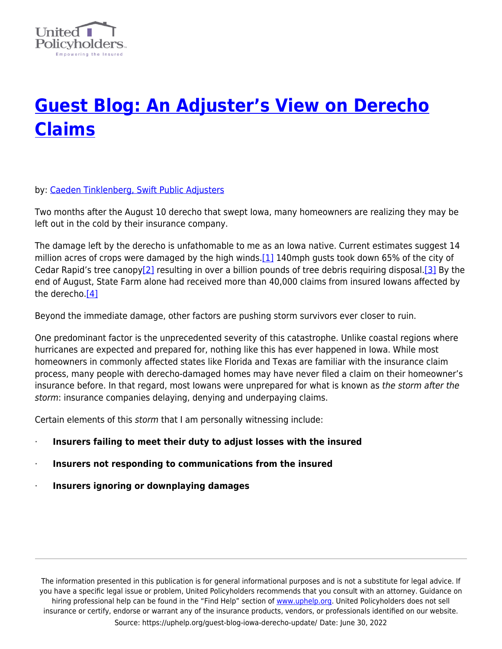

## **[Guest Blog: An Adjuster's View on Derecho](https://uphelp.org/guest-blog-iowa-derecho-update/) [Claims](https://uphelp.org/guest-blog-iowa-derecho-update/)**

## by: [Caeden Tinklenberg, Swift Public Adjusters](https://uphelp.org/sponsors/swift-public-adjusters/)

Two months after the August 10 derecho that swept Iowa, many homeowners are realizing they may be left out in the cold by their insurance company.

The damage left by the derecho is unfathomable to me as an Iowa native. Current estimates suggest 14 million acres of crops were damaged by the high winds.  $[1]$  140mph gusts took down 65% of the city of Cedar Rapid's tree canopy<sup>[2]</sup> resulting in over a billion pounds of tree debris requiring disposal.<sup>[3]</sup> By the end of August, State Farm alone had received more than 40,000 claims from insured Iowans affected by the derecho[.\[4\]](https://test-united-policyholders.pantheonsite.io/blog/guest-blog-iowa-derecho-update#_ftn4)

Beyond the immediate damage, other factors are pushing storm survivors ever closer to ruin.

One predominant factor is the unprecedented severity of this catastrophe. Unlike coastal regions where hurricanes are expected and prepared for, nothing like this has ever happened in Iowa. While most homeowners in commonly affected states like Florida and Texas are familiar with the insurance claim process, many people with derecho-damaged homes may have never filed a claim on their homeowner's insurance before. In that regard, most Iowans were unprepared for what is known as the storm after the storm: insurance companies delaying, denying and underpaying claims.

Certain elements of this storm that I am personally witnessing include:

- · **Insurers failing to meet their duty to adjust losses with the insured**
- · **Insurers not responding to communications from the insured**
- · **Insurers ignoring or downplaying damages**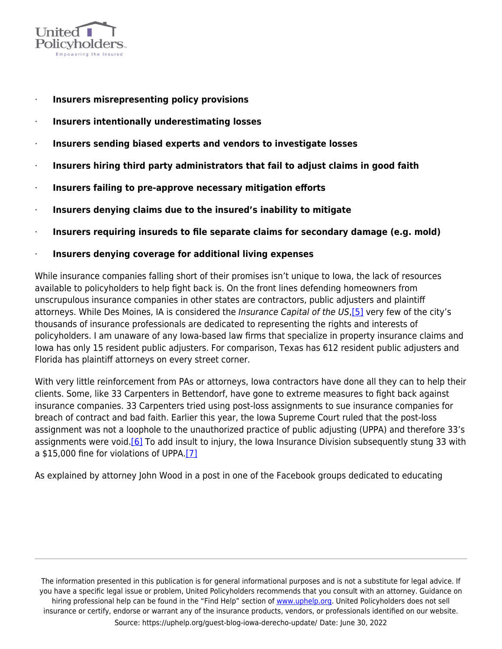

- · **Insurers misrepresenting policy provisions**
- · **Insurers intentionally underestimating losses**
- · **Insurers sending biased experts and vendors to investigate losses**
- · **Insurers hiring third party administrators that fail to adjust claims in good faith**
- · **Insurers failing to pre-approve necessary mitigation efforts**
- · **Insurers denying claims due to the insured's inability to mitigate**
- · **Insurers requiring insureds to file separate claims for secondary damage (e.g. mold)**
- · **Insurers denying coverage for additional living expenses**

While insurance companies falling short of their promises isn't unique to Iowa, the lack of resources available to policyholders to help fight back is. On the front lines defending homeowners from unscrupulous insurance companies in other states are contractors, public adjusters and plaintiff attorneys. While Des Moines, IA is considered the Insurance Capital of the US[,\[5\]](https://test-united-policyholders.pantheonsite.io/blog/guest-blog-iowa-derecho-update#_ftn5) very few of the city's thousands of insurance professionals are dedicated to representing the rights and interests of policyholders. I am unaware of any Iowa-based law firms that specialize in property insurance claims and Iowa has only 15 resident public adjusters. For comparison, Texas has 612 resident public adjusters and Florida has plaintiff attorneys on every street corner.

With very little reinforcement from PAs or attorneys, Iowa contractors have done all they can to help their clients. Some, like 33 Carpenters in Bettendorf, have gone to extreme measures to fight back against insurance companies. 33 Carpenters tried using post-loss assignments to sue insurance companies for breach of contract and bad faith. Earlier this year, the Iowa Supreme Court ruled that the post-loss assignment was not a loophole to the unauthorized practice of public adjusting (UPPA) and therefore 33's assignments were void.<sup>[6]</sup> To add insult to injury, the Iowa Insurance Division subsequently stung 33 with a \$15,000 fine for violations of UPPA.[\[7\]](https://test-united-policyholders.pantheonsite.io/blog/guest-blog-iowa-derecho-update#_ftn7)

As explained by attorney John Wood in a post in one of the Facebook groups dedicated to educating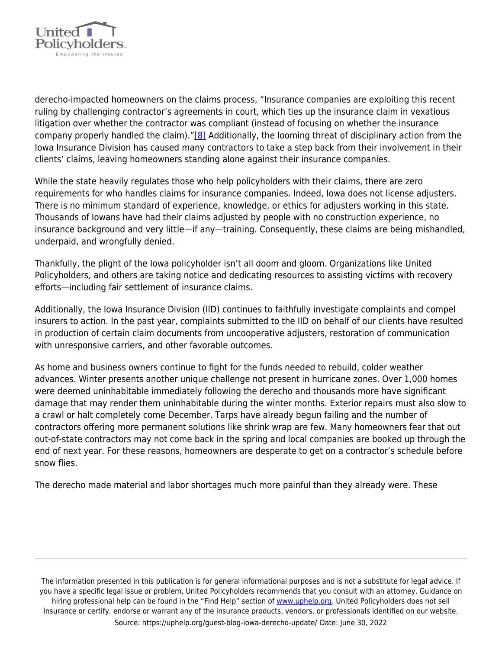

derecho-impacted homeowners on the claims process, "Insurance companies are exploiting this recent ruling by challenging contractor's agreements in court, which ties up the insurance claim in vexatious litigation over whether the contractor was compliant (instead of focusing on whether the insurance company properly handled the claim).["\[8\]](https://test-united-policyholders.pantheonsite.io/blog/guest-blog-iowa-derecho-update#_ftn8) Additionally, the looming threat of disciplinary action from the Iowa Insurance Division has caused many contractors to take a step back from their involvement in their clients' claims, leaving homeowners standing alone against their insurance companies.

While the state heavily regulates those who help policyholders with their claims, there are zero requirements for who handles claims for insurance companies. Indeed, Iowa does not license adjusters. There is no minimum standard of experience, knowledge, or ethics for adjusters working in this state. Thousands of Iowans have had their claims adjusted by people with no construction experience, no insurance background and very little—if any—training. Consequently, these claims are being mishandled, underpaid, and wrongfully denied.

Thankfully, the plight of the Iowa policyholder isn't all doom and gloom. Organizations like United Policyholders, and others are taking notice and dedicating resources to assisting victims with recovery efforts—including fair settlement of insurance claims.

Additionally, the Iowa Insurance Division (IID) continues to faithfully investigate complaints and compel insurers to action. In the past year, complaints submitted to the IID on behalf of our clients have resulted in production of certain claim documents from uncooperative adjusters, restoration of communication with unresponsive carriers, and other favorable outcomes.

As home and business owners continue to fight for the funds needed to rebuild, colder weather advances. Winter presents another unique challenge not present in hurricane zones. Over 1,000 homes were deemed uninhabitable immediately following the derecho and thousands more have significant damage that may render them uninhabitable during the winter months. Exterior repairs must also slow to a crawl or halt completely come December. Tarps have already begun failing and the number of contractors offering more permanent solutions like shrink wrap are few. Many homeowners fear that out out-of-state contractors may not come back in the spring and local companies are booked up through the end of next year. For these reasons, homeowners are desperate to get on a contractor's schedule before snow flies.

The derecho made material and labor shortages much more painful than they already were. These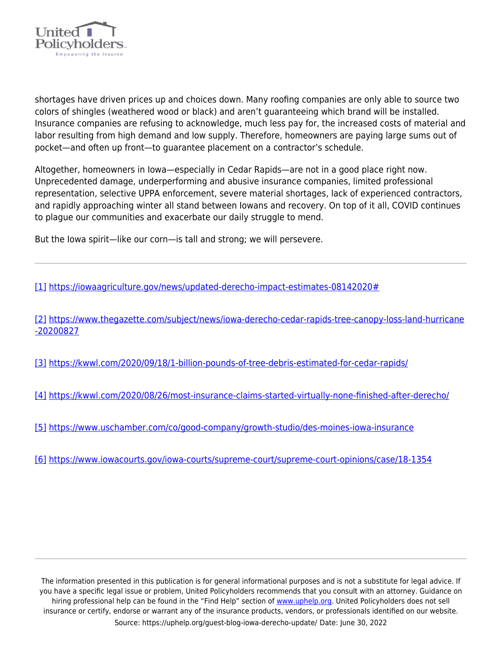

shortages have driven prices up and choices down. Many roofing companies are only able to source two colors of shingles (weathered wood or black) and aren't guaranteeing which brand will be installed. Insurance companies are refusing to acknowledge, much less pay for, the increased costs of material and labor resulting from high demand and low supply. Therefore, homeowners are paying large sums out of pocket—and often up front—to guarantee placement on a contractor's schedule.

Altogether, homeowners in Iowa—especially in Cedar Rapids—are not in a good place right now. Unprecedented damage, underperforming and abusive insurance companies, limited professional representation, selective UPPA enforcement, severe material shortages, lack of experienced contractors, and rapidly approaching winter all stand between Iowans and recovery. On top of it all, COVID continues to plague our communities and exacerbate our daily struggle to mend.

But the Iowa spirit—like our corn—is tall and strong; we will persevere.

[\[1\]](https://test-united-policyholders.pantheonsite.io/blog/guest-blog-iowa-derecho-update#_ftnref1) [https://iowaagriculture.gov/news/updated-derecho-impact-estimates-08142020#](https://iowaagriculture.gov/news/updated-derecho-impact-estimates-08142020)

[\[2\]](https://test-united-policyholders.pantheonsite.io/blog/guest-blog-iowa-derecho-update#_ftnref2) [https://www.thegazette.com/subject/news/iowa-derecho-cedar-rapids-tree-canopy-loss-land-hurricane](https://www.thegazette.com/subject/news/iowa-derecho-cedar-rapids-tree-canopy-loss-land-hurricane-20200827) [-20200827](https://www.thegazette.com/subject/news/iowa-derecho-cedar-rapids-tree-canopy-loss-land-hurricane-20200827)

[\[3\]](https://test-united-policyholders.pantheonsite.io/blog/guest-blog-iowa-derecho-update#_ftnref3) <https://kwwl.com/2020/09/18/1-billion-pounds-of-tree-debris-estimated-for-cedar-rapids/>

[\[4\]](https://test-united-policyholders.pantheonsite.io/blog/guest-blog-iowa-derecho-update#_ftnref4) <https://kwwl.com/2020/08/26/most-insurance-claims-started-virtually-none-finished-after-derecho/>

[\[5\]](https://test-united-policyholders.pantheonsite.io/blog/guest-blog-iowa-derecho-update#_ftnref5) <https://www.uschamber.com/co/good-company/growth-studio/des-moines-iowa-insurance>

[\[6\]](https://test-united-policyholders.pantheonsite.io/blog/guest-blog-iowa-derecho-update#_ftnref6) <https://www.iowacourts.gov/iowa-courts/supreme-court/supreme-court-opinions/case/18-1354>